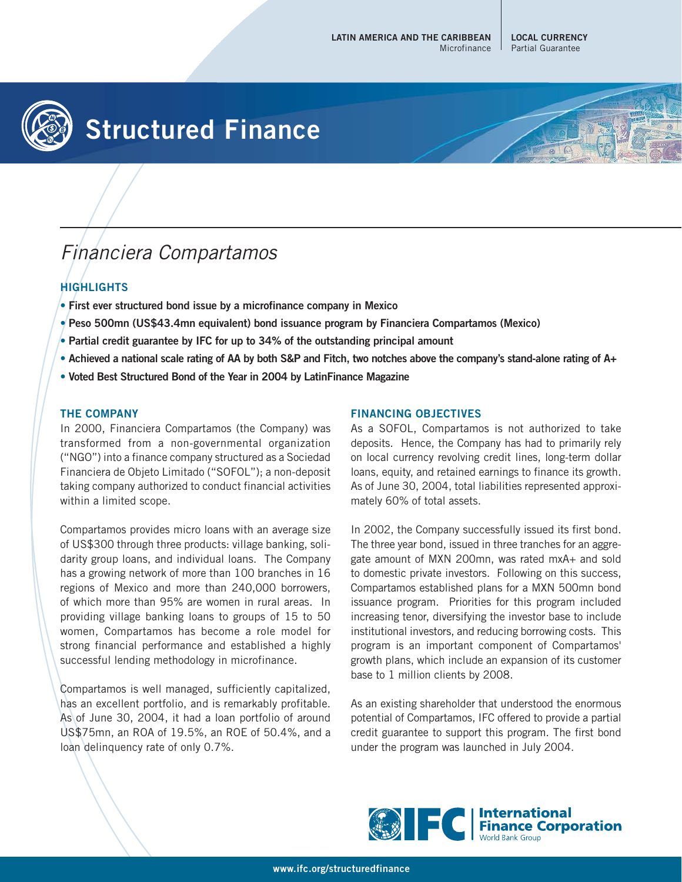

# **Structured Finance**

## Financiera Compartamos

### **HIGHLIGHTS**

- **First ever structured bond issue by a microfinance company in Mexico**
- **Peso 500mn (US\$43.4mn equivalent) bond issuance program by Financiera Compartamos (Mexico)**
- **Partial credit guarantee by IFC for up to 34% of the outstanding principal amount**
- **Achieved a national scale rating of AA by both S&P and Fitch, two notches above the company's stand-alone rating of A+**
- **Voted Best Structured Bond of the Year in 2004 by LatinFinance Magazine**

#### **THE COMPANY**

In 2000, Financiera Compartamos (the Company) was transformed from a non-governmental organization ("NGO") into a finance company structured as a Sociedad Financiera de Objeto Limitado ("SOFOL"); a non-deposit taking company authorized to conduct financial activities within a limited scope.

Compartamos provides micro loans with an average size of US\$300 through three products: village banking, solidarity group loans, and individual loans. The Company has a growing network of more than 100 branches in 16 regions of Mexico and more than 240,000 borrowers, of which more than 95% are women in rural areas. In providing village banking loans to groups of 15 to 50 women, Compartamos has become a role model for strong financial performance and established a highly successful lending methodology in microfinance.

Compartamos is well managed, sufficiently capitalized, has an excellent portfolio, and is remarkably profitable. As of June 30, 2004, it had a loan portfolio of around US\$75mn, an ROA of 19.5%, an ROE of 50.4%, and a loan delinquency rate of only 0.7%.

#### **FINANCING OBJECTIVES**

As a SOFOL, Compartamos is not authorized to take deposits. Hence, the Company has had to primarily rely on local currency revolving credit lines, long-term dollar loans, equity, and retained earnings to finance its growth. As of June 30, 2004, total liabilities represented approximately 60% of total assets.

In 2002, the Company successfully issued its first bond. The three year bond, issued in three tranches for an aggregate amount of MXN 200mn, was rated mxA+ and sold to domestic private investors. Following on this success, Compartamos established plans for a MXN 500mn bond issuance program. Priorities for this program included increasing tenor, diversifying the investor base to include institutional investors, and reducing borrowing costs. This program is an important component of Compartamos' growth plans, which include an expansion of its customer base to 1 million clients by 2008.

As an existing shareholder that understood the enormous potential of Compartamos, IFC offered to provide a partial credit guarantee to support this program. The first bond under the program was launched in July 2004.